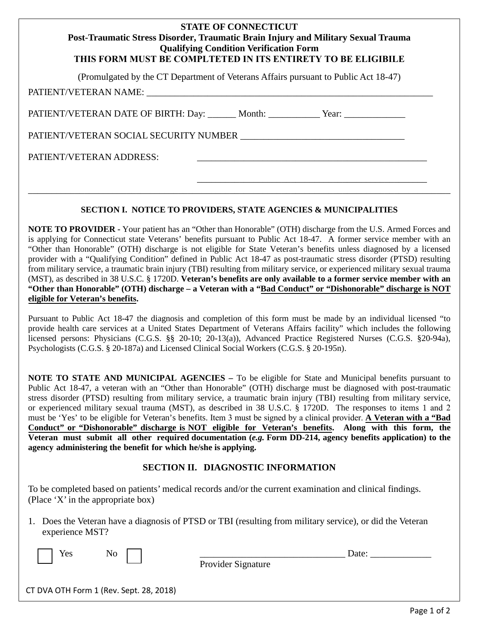|                          | <b>Qualifying Condition Verification Form</b> | <b>STATE OF CONNECTICUT</b> | Post-Traumatic Stress Disorder, Traumatic Brain Injury and Military Sexual Trauma<br>THIS FORM MUST BE COMPLTETED IN ITS ENTIRETY TO BE ELIGIBILE |  |
|--------------------------|-----------------------------------------------|-----------------------------|---------------------------------------------------------------------------------------------------------------------------------------------------|--|
|                          |                                               |                             | (Promulgated by the CT Department of Veterans Affairs pursuant to Public Act 18-47)                                                               |  |
|                          |                                               |                             | PATIENT/VETERAN DATE OF BIRTH: Day: ______ Month: __________ Year: _____________                                                                  |  |
|                          |                                               |                             | PATIENT/VETERAN SOCIAL SECURITY NUMBER                                                                                                            |  |
| PATIENT/VETERAN ADDRESS: |                                               |                             |                                                                                                                                                   |  |
|                          |                                               |                             |                                                                                                                                                   |  |

## **SECTION I. NOTICE TO PROVIDERS, STATE AGENCIES & MUNICIPALITIES**

\_\_\_\_\_\_\_\_\_\_\_\_\_\_\_\_\_\_\_\_\_\_\_\_\_\_\_\_\_\_\_\_\_\_\_\_\_\_\_\_\_\_\_\_\_\_\_\_\_\_\_\_\_\_\_\_\_\_\_\_\_\_\_\_\_\_\_\_\_\_\_\_\_\_\_\_\_\_\_\_\_\_\_\_\_\_\_\_\_\_

**NOTE TO PROVIDER -** Your patient has an "Other than Honorable" (OTH) discharge from the U.S. Armed Forces and is applying for Connecticut state Veterans' benefits pursuant to Public Act 18-47. A former service member with an "Other than Honorable" (OTH) discharge is not eligible for State Veteran's benefits unless diagnosed by a licensed provider with a "Qualifying Condition" defined in Public Act 18-47 as post-traumatic stress disorder (PTSD) resulting from military service, a traumatic brain injury (TBI) resulting from military service, or experienced military sexual trauma (MST), as described in 38 U.S.C. § 1720D. **Veteran's benefits are only available to a former service member with an "Other than Honorable" (OTH) discharge – a Veteran with a "Bad Conduct" or "Dishonorable" discharge is NOT eligible for Veteran's benefits.** 

Pursuant to Public Act 18-47 the diagnosis and completion of this form must be made by an individual licensed "to provide health care services at a United States Department of Veterans Affairs facility" which includes the following licensed persons: Physicians (C.G.S. §§ 20-10; 20-13(a)), Advanced Practice Registered Nurses (C.G.S. §20-94a), Psychologists (C.G.S. § 20-187a) and Licensed Clinical Social Workers (C.G.S. § 20-195n).

**NOTE TO STATE AND MUNICIPAL AGENCIES –** To be eligible for State and Municipal benefits pursuant to Public Act 18-47, a veteran with an "Other than Honorable" (OTH) discharge must be diagnosed with post-traumatic stress disorder (PTSD) resulting from military service, a traumatic brain injury (TBI) resulting from military service, or experienced military sexual trauma (MST), as described in 38 U.S.C. § 1720D. The responses to items 1 and 2 must be 'Yes' to be eligible for Veteran's benefits. Item 3 must be signed by a clinical provider. **A Veteran with a "Bad Conduct" or "Dishonorable" discharge is NOT eligible for Veteran's benefits. Along with this form, the Veteran must submit all other required documentation (***e.g.* **Form DD-214, agency benefits application) to the agency administering the benefit for which he/she is applying.**

## **SECTION II. DIAGNOSTIC INFORMATION**

To be completed based on patients' medical records and/or the current examination and clinical findings. (Place 'X' in the appropriate box)

1. Does the Veteran have a diagnosis of PTSD or TBI (resulting from military service), or did the Veteran experience MST?

| Yes<br>No                               |                    | Date: |  |
|-----------------------------------------|--------------------|-------|--|
|                                         | Provider Signature |       |  |
| CT DVA OTH Form 1 (Rev. Sept. 28, 2018) |                    |       |  |

Page 1 of 2